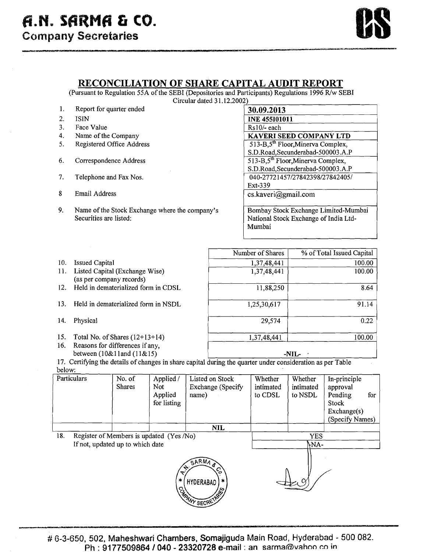## **RECONCILIATION OF SHARE CAPITAL AUDIT REPORT**

(Pursuant to Regulation 55A of the SEBI (Depositories and Participants) Regulations 1996 R/w SEBI  $Circular$  dated  $31.12.2002$ )

| 1. | Report for quarter ended                       | 30.09.2013                                          |
|----|------------------------------------------------|-----------------------------------------------------|
| 2. | <b>ISIN</b>                                    | <b>INE 455101011</b>                                |
| 3. | Face Value                                     | $Rs10/-$ each                                       |
| 4. | Name of the Company                            | <b>KAVERI SEED COMPANY LTD</b>                      |
| 5. | Registered Office Address                      | $513 - B$ , $5^{\text{th}}$ Floor, Minerva Complex, |
|    |                                                | S.D.Road, Secunderabad-500003.A.P                   |
| 6. | Correspondence Address                         | 513-B, $5^{\text{th}}$ Floor, Minerva Complex,      |
|    |                                                | S.D.Road, Secunderabad-500003.A.P                   |
| 7. | Telephone and Fax Nos.                         | 040-27721457/27842398/27842405/                     |
|    |                                                | Ext-339                                             |
| 8. | Email Address                                  | cs.kaver@gmail.com                                  |
|    |                                                |                                                     |
| 9. | Name of the Stock Exchange where the company's | Bombay Stock Exchange Limited-Mumbai                |
|    | Securities are listed:                         | National Stock Exchange of India Ltd-               |
|    |                                                | Mumbai                                              |

- 10. Issued Capital
- 11. Listed Capital (Exchange Wise) (as per company records)
- 12. Held in dematerialized form in CDSL
- 13. Held in dematerialized form in NSDL
- 14. Physical
- 15. Total No. of Shares (12+13+14)
- 16. Reasons for differences if any, between (lO&l land (1 1&15)

| Number of Shares | % of Total Issued Capital |
|------------------|---------------------------|
| 1,37,48,441      | 100.00                    |
| 1,37,48,441      | 100.00                    |
| 11,88,250        | 8.64                      |
| 1,25,30,617      | 91.14                     |
| 29,574           | 0.22                      |
| 1,37,48,441      | 100.00                    |
|                  | -NIL-                     |

17. Certifying the details of changes in share capital during the quarter under consideration as per Table below:

|                                                                                                                      | Particulars                              | No. of<br><b>Shares</b>          | Applied /<br>Not<br>Applied<br>for listing | Listed on Stock<br>Exchange (Specify<br>name) | Whether<br>intimated<br>to CDSL | Whether<br>intimated<br>to NSDL | In-principle<br>approval<br>Pending<br>for<br>Stock<br>Exchange(s)<br>(Specify Names) |  |
|----------------------------------------------------------------------------------------------------------------------|------------------------------------------|----------------------------------|--------------------------------------------|-----------------------------------------------|---------------------------------|---------------------------------|---------------------------------------------------------------------------------------|--|
|                                                                                                                      |                                          |                                  |                                            | <b>NIL</b>                                    |                                 |                                 |                                                                                       |  |
| 18.                                                                                                                  | Register of Members is updated (Yes /No) |                                  |                                            |                                               | <b>YES</b>                      |                                 |                                                                                       |  |
|                                                                                                                      |                                          | If not, updated up to which date |                                            |                                               | \NA-                            |                                 |                                                                                       |  |
| SARMAR<br>$\mathcal{L}_{\mathcal{P}}$<br><u>င္</u><br>$\ast$<br>HYDERABAD <sup>1</sup><br>$\mathcal{C}_{\mathbf{z}}$ |                                          |                                  | <u>। १६२</u>                               |                                               |                                 |                                 |                                                                                       |  |

**AY SECRY**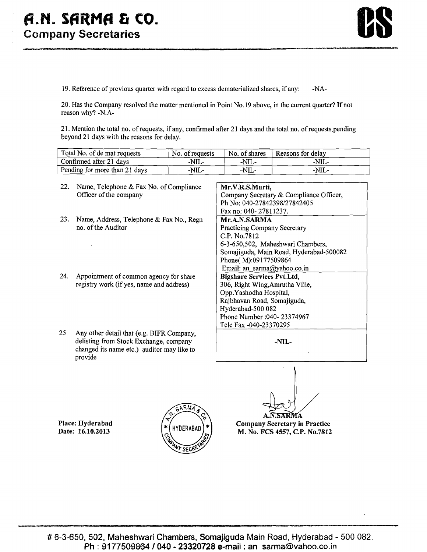

19. Reference of previous quarter with regard to excess dematerialized shares, if any: -NA-

20. Has the Company resolved the matter mentioned in Point No.19 above, in the current quarter? If not reason why? -N.A-

21. Mention the total no. of requests, if any, confirmed after 21 days and the total no. of requests.pending beyond 21 days with the reasons for delay.

| Total No. of de mat requests  | No. of requests | No. of shares | Reasons for delay |
|-------------------------------|-----------------|---------------|-------------------|
| Confirmed after 21 days       | -NIL-           | -NIL-         | -NIL-             |
| Pending for more than 21 days | -NIL-           | -NIL-         | -NIL-             |

22. Name, Telephone & Fax No. of Compliance Officer of the company 23. Name, Address, Telephone & Fax No., Regn no. of the Auditor 24. Appointment of common agency for share registry work (if yes, name and address) 25 Any other detail that (e.g. BIFR Company, delisting from Stock Exchange, company changed its name etc.) quditor may like to **Mr.V.R.S.Murti,**  Company Secretary & Compliance Officer, Ph No: 040-27842398/27842405 Fax no: 040- 2781 1237. **Mr.A.N.SARMA**  Practicing Company Secretary C.P. No.7812 6-3-650,502, Maheshwari Chambers, Somajiguda, Main Road, Hyderabad-500082 Phone( M):09177509864 Email: an\_sarma@yahoo.co.in **Bigshare Services Pvt.Ltd,**  306, Right Wing,Amrutha Ville, 0pp.Yashodha Hospital, Rajbhavan Road, Somajiguda, Hyderabad-500 082 Phone Number :040- 23374967 Tele Fax -040-23370295 **-NIL-**

**Place: Hyderabad Date: 16.10.2013** 

provide



 $\blacktriangle$ AR MA

**Company Secretary in Practice M. No. FCS** 4557, **C.P. No.7812**